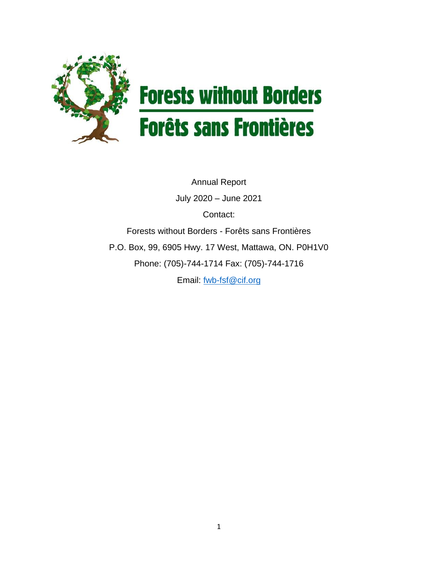

# **Forests without Borders Forêts sans Frontières**

Annual Report July 2020 – June 2021 Contact: Forests without Borders - Forêts sans Frontières P.O. Box, 99, 6905 Hwy. 17 West, Mattawa, ON. P0H1V0 Phone: (705)-744-1714 Fax: (705)-744-1716 Email: [fwb-fsf@cif.org](mailto:fwb-fsf@cif.org)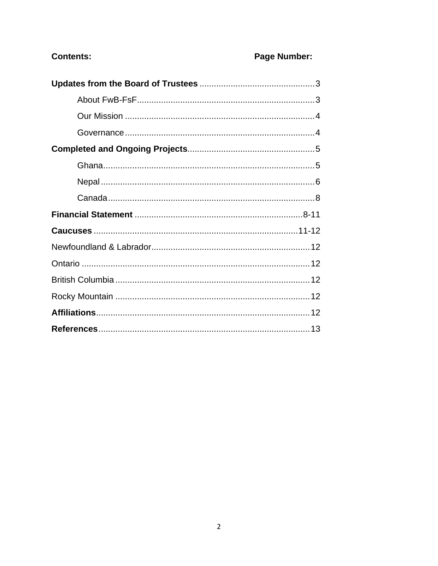# **Contents:**

# Page Number: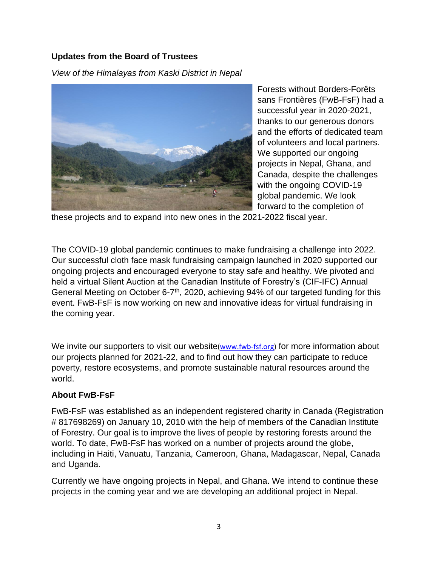### **Updates from the Board of Trustees**

*View of the Himalayas from Kaski District in Nepal*



Forests without Borders-Forêts sans Frontières (FwB-FsF) had a successful year in 2020-2021, thanks to our generous donors and the efforts of dedicated team of volunteers and local partners. We supported our ongoing projects in Nepal, Ghana, and Canada, despite the challenges with the ongoing COVID-19 global pandemic. We look forward to the completion of

these projects and to expand into new ones in the 2021-2022 fiscal year.

The COVID-19 global pandemic continues to make fundraising a challenge into 2022. Our successful cloth face mask fundraising campaign launched in 2020 supported our ongoing projects and encouraged everyone to stay safe and healthy. We pivoted and held a virtual Silent Auction at the Canadian Institute of Forestry's (CIF-IFC) Annual General Meeting on October 6-7<sup>th</sup>, 2020, achieving 94% of our targeted funding for this event. FwB-FsF is now working on new and innovative ideas for virtual fundraising in the coming year.

We invite our supporters to visit our website(www.fwb-fsf.org) for more information about our projects planned for 2021-22, and to find out how they can participate to reduce poverty, restore ecosystems, and promote sustainable natural resources around the world.

#### **About FwB-FsF**

FwB-FsF was established as an independent registered charity in Canada (Registration # 817698269) on January 10, 2010 with the help of members of the Canadian Institute of Forestry. Our goal is to improve the lives of people by restoring forests around the world. To date, FwB-FsF has worked on a number of projects around the globe, including in Haiti, Vanuatu, Tanzania, Cameroon, Ghana, Madagascar, Nepal, Canada and Uganda.

Currently we have ongoing projects in Nepal, and Ghana. We intend to continue these projects in the coming year and we are developing an additional project in Nepal.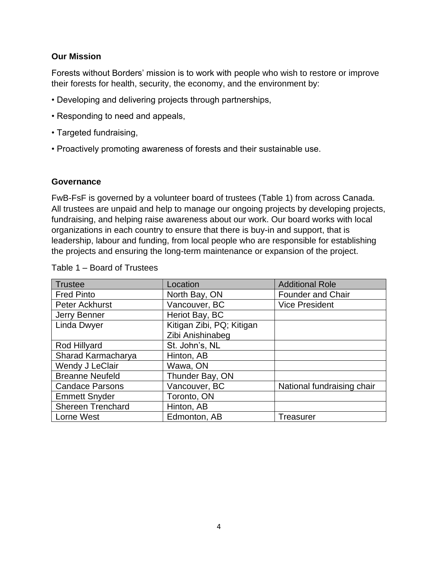#### **Our Mission**

Forests without Borders' mission is to work with people who wish to restore or improve their forests for health, security, the economy, and the environment by:

- Developing and delivering projects through partnerships,
- Responding to need and appeals,
- Targeted fundraising,
- Proactively promoting awareness of forests and their sustainable use.

#### **Governance**

FwB-FsF is governed by a volunteer board of trustees (Table 1) from across Canada. All trustees are unpaid and help to manage our ongoing projects by developing projects, fundraising, and helping raise awareness about our work. Our board works with local organizations in each country to ensure that there is buy-in and support, that is leadership, labour and funding, from local people who are responsible for establishing the projects and ensuring the long-term maintenance or expansion of the project.

| Trustee                  | Location                  | <b>Additional Role</b>     |  |
|--------------------------|---------------------------|----------------------------|--|
| <b>Fred Pinto</b>        | North Bay, ON             | <b>Founder and Chair</b>   |  |
| Peter Ackhurst           | Vancouver, BC             | <b>Vice President</b>      |  |
| Jerry Benner             | Heriot Bay, BC            |                            |  |
| <b>Linda Dwyer</b>       | Kitigan Zibi, PQ; Kitigan |                            |  |
|                          | Zibi Anishinabeg          |                            |  |
| Rod Hillyard             | St. John's, NL            |                            |  |
| Sharad Karmacharya       | Hinton, AB                |                            |  |
| Wendy J LeClair          | Wawa, ON                  |                            |  |
| <b>Breanne Neufeld</b>   | Thunder Bay, ON           |                            |  |
| <b>Candace Parsons</b>   | Vancouver, BC             | National fundraising chair |  |
| <b>Emmett Snyder</b>     | Toronto, ON               |                            |  |
| <b>Shereen Trenchard</b> | Hinton, AB                |                            |  |
| Lorne West               | Edmonton, AB              | <b>Treasurer</b>           |  |

#### Table 1 – Board of Trustees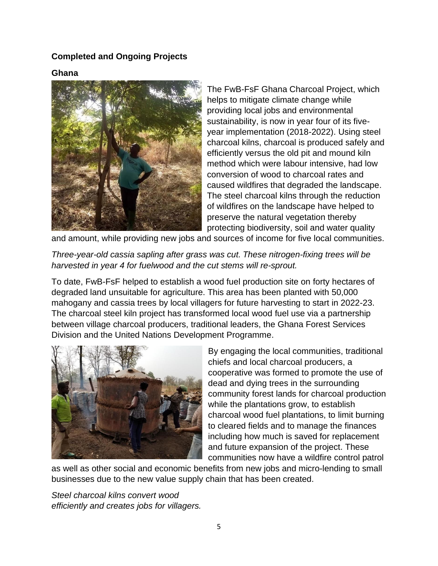#### **Completed and Ongoing Projects**

#### **Ghana**



The FwB-FsF Ghana Charcoal Project, which helps to mitigate climate change while providing local jobs and environmental sustainability, is now in year four of its fiveyear implementation (2018-2022). Using steel charcoal kilns, charcoal is produced safely and efficiently versus the old pit and mound kiln method which were labour intensive, had low conversion of wood to charcoal rates and caused wildfires that degraded the landscape. The steel charcoal kilns through the reduction of wildfires on the landscape have helped to preserve the natural vegetation thereby protecting biodiversity, soil and water quality

and amount, while providing new jobs and sources of income for five local communities.

*Three-year-old cassia sapling after grass was cut. These nitrogen-fixing trees will be harvested in year 4 for fuelwood and the cut stems will re-sprout.*

To date, FwB-FsF helped to establish a wood fuel production site on forty hectares of degraded land unsuitable for agriculture. This area has been planted with 50,000 mahogany and cassia trees by local villagers for future harvesting to start in 2022-23. The charcoal steel kiln project has transformed local wood fuel use via a partnership between village charcoal producers, traditional leaders, the Ghana Forest Services Division and the United Nations Development Programme.



By engaging the local communities, traditional chiefs and local charcoal producers, a cooperative was formed to promote the use of dead and dying trees in the surrounding community forest lands for charcoal production while the plantations grow, to establish charcoal wood fuel plantations, to limit burning to cleared fields and to manage the finances including how much is saved for replacement and future expansion of the project. These communities now have a wildfire control patrol

as well as other social and economic benefits from new jobs and micro-lending to small businesses due to the new value supply chain that has been created.

*Steel charcoal kilns convert wood efficiently and creates jobs for villagers.*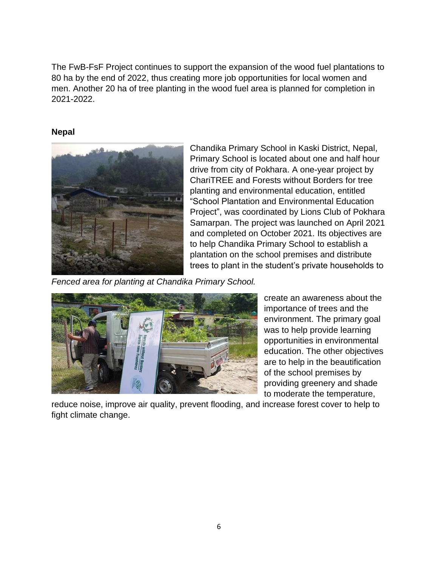The FwB-FsF Project continues to support the expansion of the wood fuel plantations to 80 ha by the end of 2022, thus creating more job opportunities for local women and men. Another 20 ha of tree planting in the wood fuel area is planned for completion in 2021-2022.

#### **Nepal**



Chandika Primary School in Kaski District, Nepal, Primary School is located about one and half hour drive from city of Pokhara. A one-year project by ChariTREE and Forests without Borders for tree planting and environmental education, entitled "School Plantation and Environmental Education Project", was coordinated by Lions Club of Pokhara Samarpan. The project was launched on April 2021 and completed on October 2021. Its objectives are to help Chandika Primary School to establish a plantation on the school premises and distribute trees to plant in the student's private households to

*Fenced area for planting at Chandika Primary School.*



create an awareness about the importance of trees and the environment. The primary goal was to help provide learning opportunities in environmental education. The other objectives are to help in the beautification of the school premises by providing greenery and shade to moderate the temperature,

reduce noise, improve air quality, prevent flooding, and increase forest cover to help to fight climate change.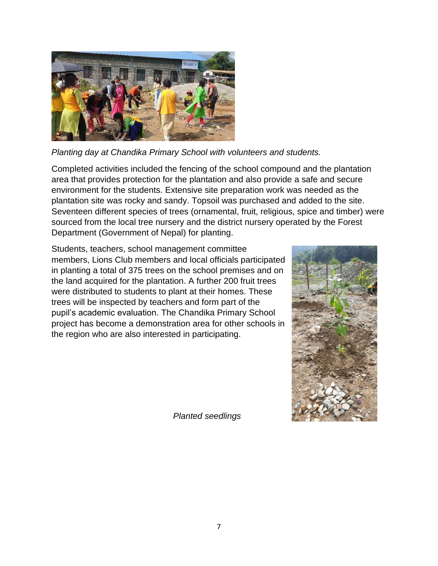

*Planting day at Chandika Primary School with volunteers and students.*

Completed activities included the fencing of the school compound and the plantation area that provides protection for the plantation and also provide a safe and secure environment for the students. Extensive site preparation work was needed as the plantation site was rocky and sandy. Topsoil was purchased and added to the site. Seventeen different species of trees (ornamental, fruit, religious, spice and timber) were sourced from the local tree nursery and the district nursery operated by the Forest Department (Government of Nepal) for planting.

Students, teachers, school management committee members, Lions Club members and local officials participated in planting a total of 375 trees on the school premises and on the land acquired for the plantation. A further 200 fruit trees were distributed to students to plant at their homes. These trees will be inspected by teachers and form part of the pupil's academic evaluation. The Chandika Primary School project has become a demonstration area for other schools in the region who are also interested in participating.



*Planted seedlings*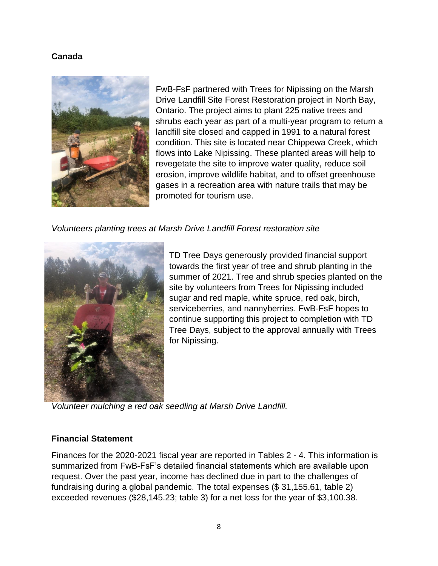#### **Canada**



FwB-FsF partnered with Trees for Nipissing on the Marsh Drive Landfill Site Forest Restoration project in North Bay, Ontario. The project aims to plant 225 native trees and shrubs each year as part of a multi-year program to return a landfill site closed and capped in 1991 to a natural forest condition. This site is located near Chippewa Creek, which flows into Lake Nipissing. These planted areas will help to revegetate the site to improve water quality, reduce soil erosion, improve wildlife habitat, and to offset greenhouse gases in a recreation area with nature trails that may be promoted for tourism use.

*Volunteers planting trees at Marsh Drive Landfill Forest restoration site*



TD Tree Days generously provided financial support towards the first year of tree and shrub planting in the summer of 2021. Tree and shrub species planted on the site by volunteers from Trees for Nipissing included sugar and red maple, white spruce, red oak, birch, serviceberries, and nannyberries. FwB-FsF hopes to continue supporting this project to completion with TD Tree Days, subject to the approval annually with Trees for Nipissing.

*Volunteer mulching a red oak seedling at Marsh Drive Landfill.*

#### **Financial Statement**

Finances for the 2020-2021 fiscal year are reported in Tables 2 - 4. This information is summarized from FwB-FsF's detailed financial statements which are available upon request. Over the past year, income has declined due in part to the challenges of fundraising during a global pandemic. The total expenses (\$ 31,155.61, table 2) exceeded revenues (\$28,145.23; table 3) for a net loss for the year of \$3,100.38.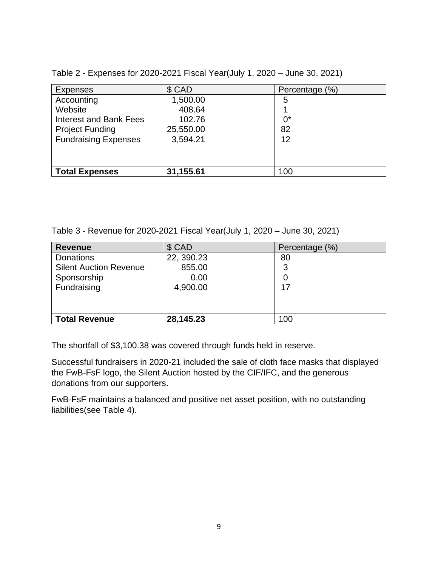| <b>Expenses</b>             | \$ CAD    | Percentage (%) |
|-----------------------------|-----------|----------------|
| Accounting                  | 1,500.00  | 5              |
| Website                     | 408.64    |                |
| Interest and Bank Fees      | 102.76    | $0^*$          |
| <b>Project Funding</b>      | 25,550.00 | 82             |
| <b>Fundraising Expenses</b> | 3,594.21  | 12             |
|                             |           |                |
|                             |           |                |
| <b>Total Expenses</b>       | 31,155.61 | 100            |

Table 2 - Expenses for 2020-2021 Fiscal Year(July 1, 2020 – June 30, 2021)

Table 3 - Revenue for 2020-2021 Fiscal Year(July 1, 2020 – June 30, 2021)

| <b>Revenue</b>                | \$ CAD     | Percentage (%) |
|-------------------------------|------------|----------------|
| <b>Donations</b>              | 22, 390.23 | 80             |
| <b>Silent Auction Revenue</b> | 855.00     | 3              |
| Sponsorship                   | 0.00       | 0              |
| Fundraising                   | 4,900.00   | 17             |
|                               |            |                |
|                               |            |                |
| <b>Total Revenue</b>          | 28,145.23  | 100            |

The shortfall of \$3,100.38 was covered through funds held in reserve.

Successful fundraisers in 2020-21 included the sale of cloth face masks that displayed the FwB-FsF logo, the Silent Auction hosted by the CIF/IFC, and the generous donations from our supporters.

FwB-FsF maintains a balanced and positive net asset position, with no outstanding liabilities(see Table 4).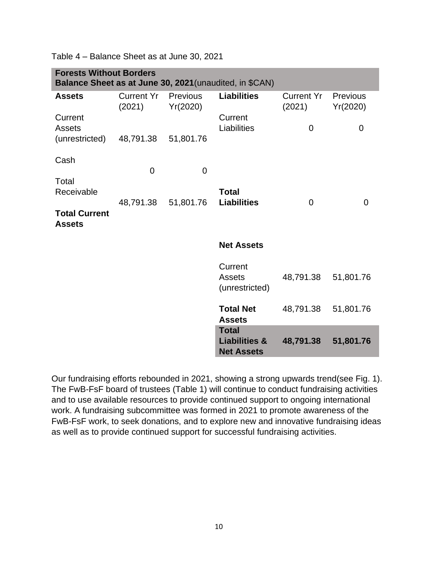| <b>Forests Without Borders</b><br>Balance Sheet as at June 30, 2021 (unaudited, in \$CAN) |                             |                      |                                                               |                             |                      |  |  |  |
|-------------------------------------------------------------------------------------------|-----------------------------|----------------------|---------------------------------------------------------------|-----------------------------|----------------------|--|--|--|
| <b>Assets</b>                                                                             | <b>Current Yr</b><br>(2021) | Previous<br>Yr(2020) | <b>Liabilities</b>                                            | <b>Current Yr</b><br>(2021) | Previous<br>Yr(2020) |  |  |  |
| Current<br><b>Assets</b>                                                                  |                             |                      | Current<br>Liabilities                                        | $\overline{0}$              | 0                    |  |  |  |
| (unrestricted)                                                                            | 48,791.38                   | 51,801.76            |                                                               |                             |                      |  |  |  |
| Cash                                                                                      | 0                           | $\overline{0}$       |                                                               |                             |                      |  |  |  |
| Total<br>Receivable                                                                       |                             |                      | <b>Total</b>                                                  |                             |                      |  |  |  |
| <b>Total Current</b>                                                                      | 48,791.38                   | 51,801.76            | <b>Liabilities</b>                                            | $\overline{0}$              | $\overline{0}$       |  |  |  |
| <b>Assets</b>                                                                             |                             |                      |                                                               |                             |                      |  |  |  |
|                                                                                           |                             |                      | <b>Net Assets</b>                                             |                             |                      |  |  |  |
|                                                                                           |                             |                      | Current<br><b>Assets</b><br>(unrestricted)                    | 48,791.38                   | 51,801.76            |  |  |  |
|                                                                                           |                             |                      | <b>Total Net</b><br><b>Assets</b>                             | 48,791.38                   | 51,801.76            |  |  |  |
|                                                                                           |                             |                      | <b>Total</b><br><b>Liabilities &amp;</b><br><b>Net Assets</b> | 48,791.38                   | 51,801.76            |  |  |  |

Table 4 – Balance Sheet as at June 30, 2021

Our fundraising efforts rebounded in 2021, showing a strong upwards trend(see Fig. 1). The FwB-FsF board of trustees (Table 1) will continue to conduct fundraising activities and to use available resources to provide continued support to ongoing international work. A fundraising subcommittee was formed in 2021 to promote awareness of the FwB-FsF work, to seek donations, and to explore new and innovative fundraising ideas as well as to provide continued support for successful fundraising activities.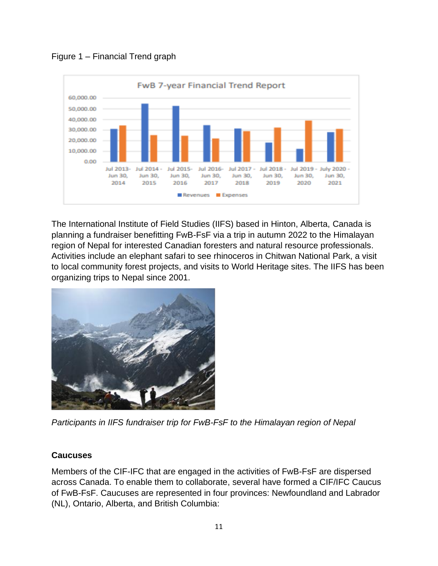Figure 1 – Financial Trend graph



The International Institute of Field Studies (IIFS) based in Hinton, Alberta, Canada is planning a fundraiser benefitting FwB-FsF via a trip in autumn 2022 to the Himalayan region of Nepal for interested Canadian foresters and natural resource professionals. Activities include an elephant safari to see rhinoceros in Chitwan National Park, a visit to local community forest projects, and visits to World Heritage sites. The IIFS has been organizing trips to Nepal since 2001.



*Participants in IIFS fundraiser trip for FwB-FsF to the Himalayan region of Nepal*

# **Caucuses**

Members of the CIF-IFC that are engaged in the activities of FwB-FsF are dispersed across Canada. To enable them to collaborate, several have formed a CIF/IFC Caucus of FwB-FsF. Caucuses are represented in four provinces: Newfoundland and Labrador (NL), Ontario, Alberta, and British Columbia: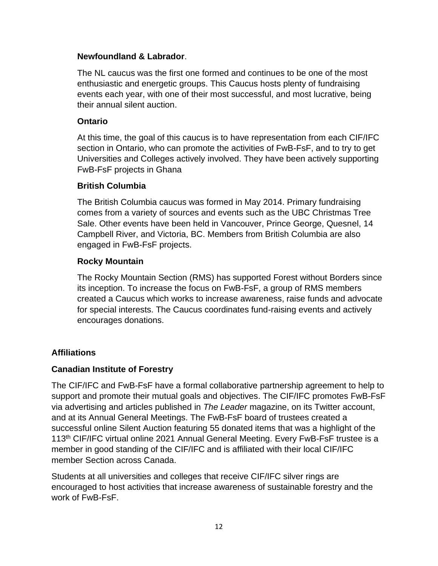#### **Newfoundland & Labrador**.

The NL caucus was the first one formed and continues to be one of the most enthusiastic and energetic groups. This Caucus hosts plenty of fundraising events each year, with one of their most successful, and most lucrative, being their annual silent auction.

#### **Ontario**

At this time, the goal of this caucus is to have representation from each CIF/IFC section in Ontario, who can promote the activities of FwB-FsF, and to try to get Universities and Colleges actively involved. They have been actively supporting FwB-FsF projects in Ghana

#### **British Columbia**

The British Columbia caucus was formed in May 2014. Primary fundraising comes from a variety of sources and events such as the UBC Christmas Tree Sale. Other events have been held in Vancouver, Prince George, Quesnel, 14 Campbell River, and Victoria, BC. Members from British Columbia are also engaged in FwB-FsF projects.

#### **Rocky Mountain**

The Rocky Mountain Section (RMS) has supported Forest without Borders since its inception. To increase the focus on FwB-FsF, a group of RMS members created a Caucus which works to increase awareness, raise funds and advocate for special interests. The Caucus coordinates fund-raising events and actively encourages donations.

#### **Affiliations**

#### **Canadian Institute of Forestry**

The CIF/IFC and FwB-FsF have a formal collaborative partnership agreement to help to support and promote their mutual goals and objectives. The CIF/IFC promotes FwB-FsF via advertising and articles published in *The Leader* magazine, on its Twitter account, and at its Annual General Meetings. The FwB-FsF board of trustees created a successful online Silent Auction featuring 55 donated items that was a highlight of the 113th CIF/IFC virtual online 2021 Annual General Meeting. Every FwB-FsF trustee is a member in good standing of the CIF/IFC and is affiliated with their local CIF/IFC member Section across Canada.

Students at all universities and colleges that receive CIF/IFC silver rings are encouraged to host activities that increase awareness of sustainable forestry and the work of FwB-FsF.